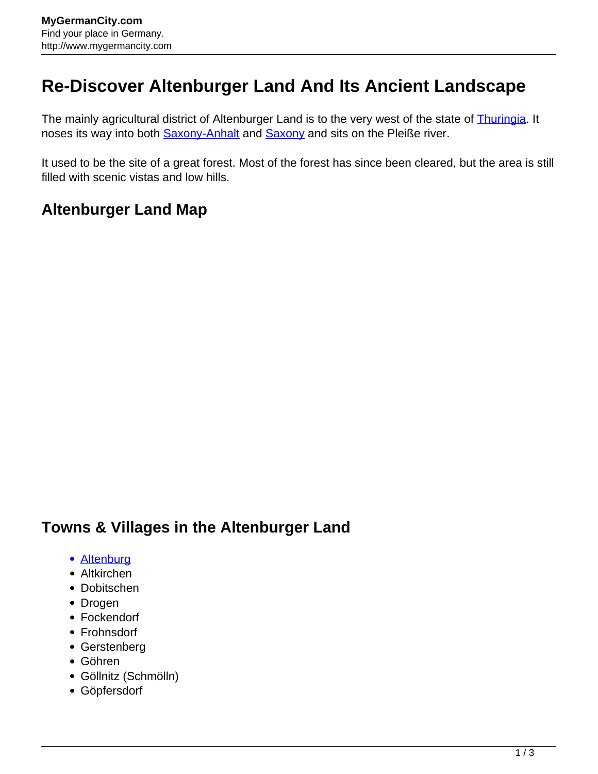## **Re-Discover Altenburger Land And Its Ancient Landscape**

The mainly agricultural district of Altenburger Land is to the very west of the state of **Thuringia**. It noses its way into both **Saxony-Anhalt** and **Saxony** and sits on the Pleiße river.

It used to be the site of a great forest. Most of the forest has since been cleared, but the area is still filled with scenic vistas and low hills.

## **Altenburger Land Map**

## **Towns & Villages in the Altenburger Land**

- [Altenburg](http://www.mygermancity.com/altenburg)
- Altkirchen
- Dobitschen
- Drogen
- Fockendorf
- Frohnsdorf
- Gerstenberg
- Göhren
- Göllnitz (Schmölln)
- Göpfersdorf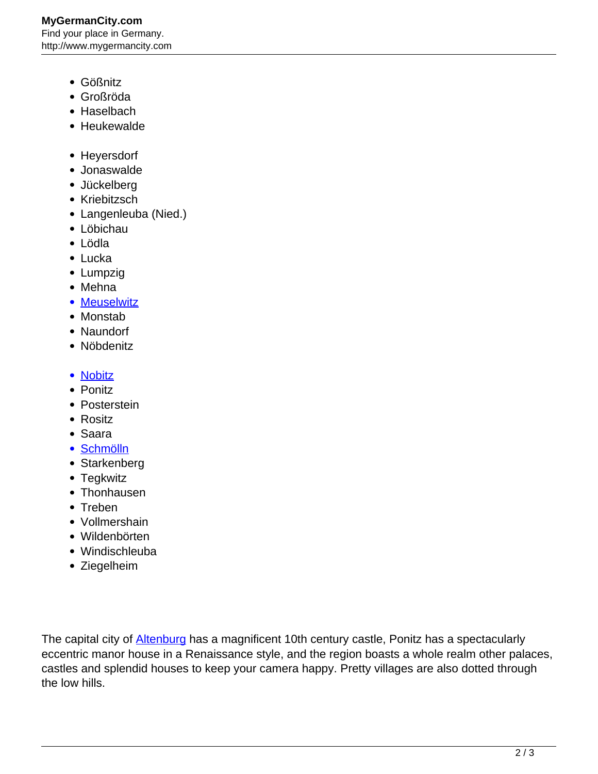- Gößnitz
- Großröda
- Haselbach
- Heukewalde
- Heyersdorf
- Jonaswalde
- Jückelberg
- Kriebitzsch
- Langenleuba (Nied.)
- Löbichau
- Lödla
- Lucka
- Lumpzig
- Mehna
- [Meuselwitz](http://www.mygermancity.com/meuselwitz)
- Monstab
- Naundorf
- Nöbdenitz
- [Nobitz](http://www.mygermancity.com/nobitz)
- Ponitz
- Posterstein
- Rositz
- Saara
- [Schmölln](http://www.mygermancity.com/schmoelln)
- Starkenberg
- Tegkwitz
- Thonhausen
- Treben
- Vollmershain
- Wildenbörten
- Windischleuba
- Ziegelheim

The capital city of **Altenburg** has a magnificent 10th century castle, Ponitz has a spectacularly eccentric manor house in a Renaissance style, and the region boasts a whole realm other palaces, castles and splendid houses to keep your camera happy. Pretty villages are also dotted through the low hills.